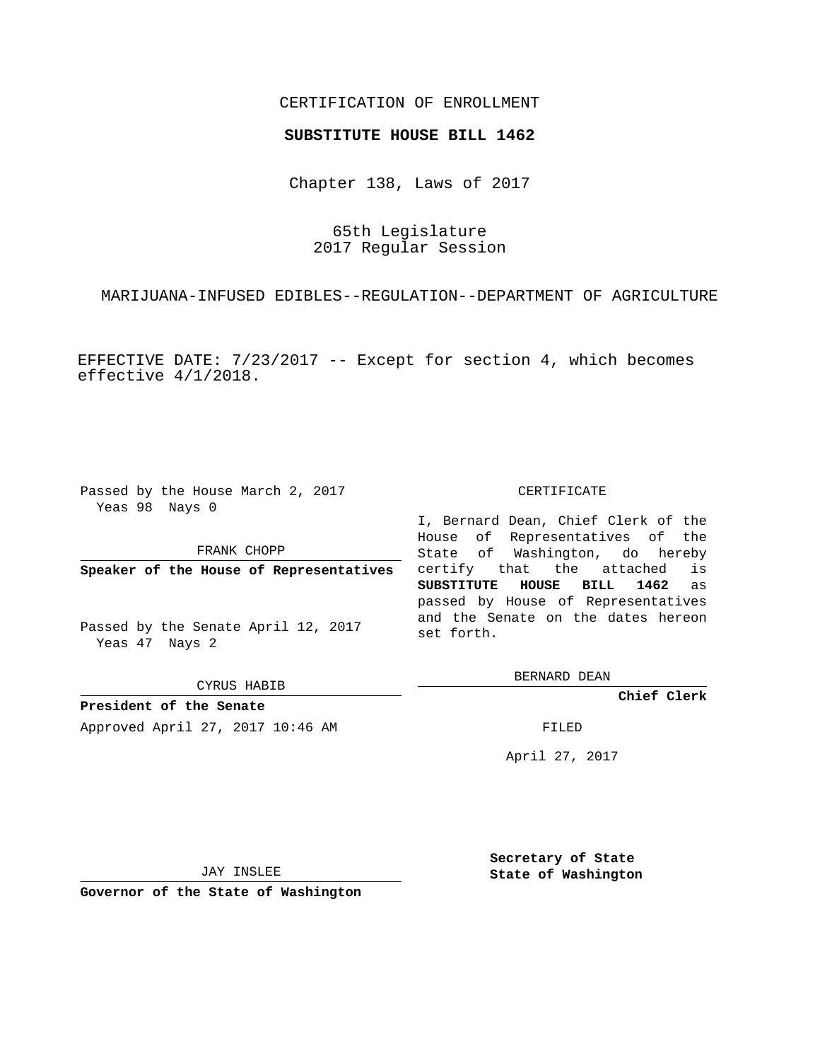# CERTIFICATION OF ENROLLMENT

### **SUBSTITUTE HOUSE BILL 1462**

Chapter 138, Laws of 2017

65th Legislature 2017 Regular Session

MARIJUANA-INFUSED EDIBLES--REGULATION--DEPARTMENT OF AGRICULTURE

EFFECTIVE DATE: 7/23/2017 -- Except for section 4, which becomes effective 4/1/2018.

Passed by the House March 2, 2017 Yeas 98 Nays 0

### FRANK CHOPP

**Speaker of the House of Representatives**

Passed by the Senate April 12, 2017 Yeas 47 Nays 2

CYRUS HABIB

**President of the Senate** Approved April 27, 2017 10:46 AM FILED

#### CERTIFICATE

I, Bernard Dean, Chief Clerk of the House of Representatives of the State of Washington, do hereby certify that the attached is **SUBSTITUTE HOUSE BILL 1462** as passed by House of Representatives and the Senate on the dates hereon set forth.

BERNARD DEAN

**Chief Clerk**

April 27, 2017

JAY INSLEE

**Governor of the State of Washington**

**Secretary of State State of Washington**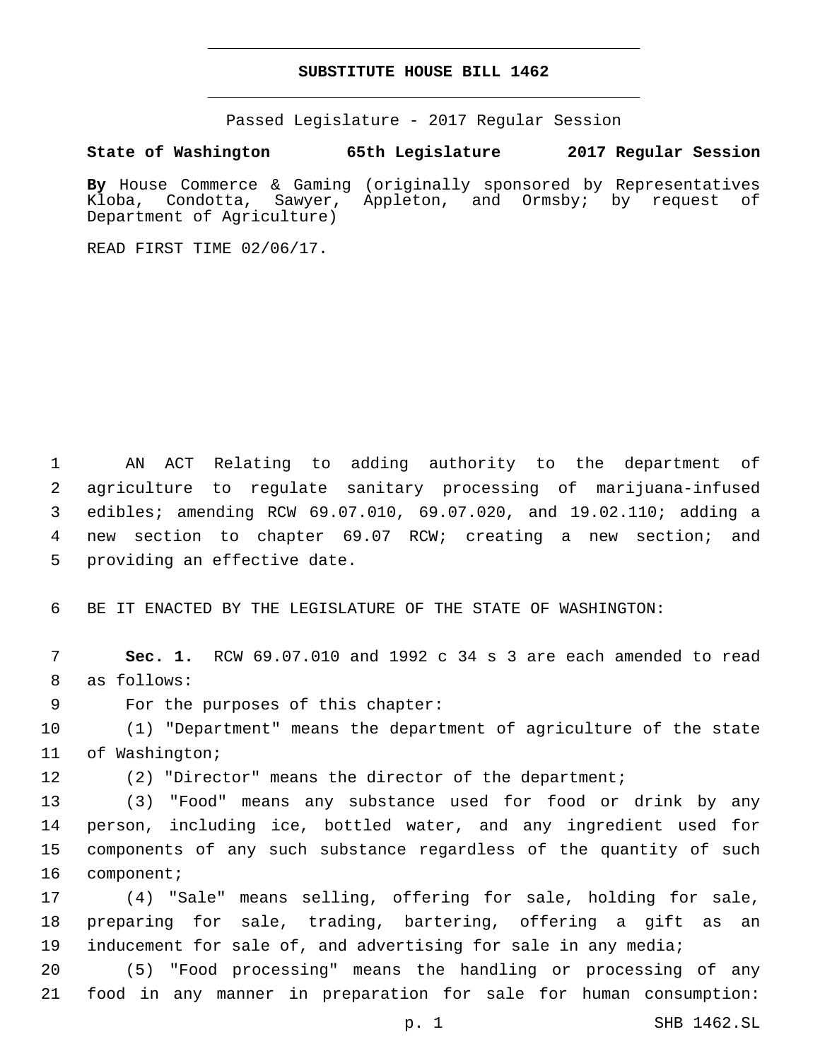## **SUBSTITUTE HOUSE BILL 1462**

Passed Legislature - 2017 Regular Session

**State of Washington 65th Legislature 2017 Regular Session**

By House Commerce & Gaming (originally sponsored by Representatives Kloba, Condotta, Sawyer, Appleton, and Ormsby; by request of Kloba, Condotta, Sawyer, Appleton, and Ormsby; by request of Department of Agriculture)

READ FIRST TIME 02/06/17.

 AN ACT Relating to adding authority to the department of agriculture to regulate sanitary processing of marijuana-infused edibles; amending RCW 69.07.010, 69.07.020, and 19.02.110; adding a new section to chapter 69.07 RCW; creating a new section; and 5 providing an effective date.

6 BE IT ENACTED BY THE LEGISLATURE OF THE STATE OF WASHINGTON:

7 **Sec. 1.** RCW 69.07.010 and 1992 c 34 s 3 are each amended to read 8 as follows:

9 For the purposes of this chapter:

10 (1) "Department" means the department of agriculture of the state 11 of Washington;

12 (2) "Director" means the director of the department;

 (3) "Food" means any substance used for food or drink by any person, including ice, bottled water, and any ingredient used for components of any such substance regardless of the quantity of such 16 component;

17 (4) "Sale" means selling, offering for sale, holding for sale, 18 preparing for sale, trading, bartering, offering a gift as an 19 inducement for sale of, and advertising for sale in any media;

20 (5) "Food processing" means the handling or processing of any 21 food in any manner in preparation for sale for human consumption: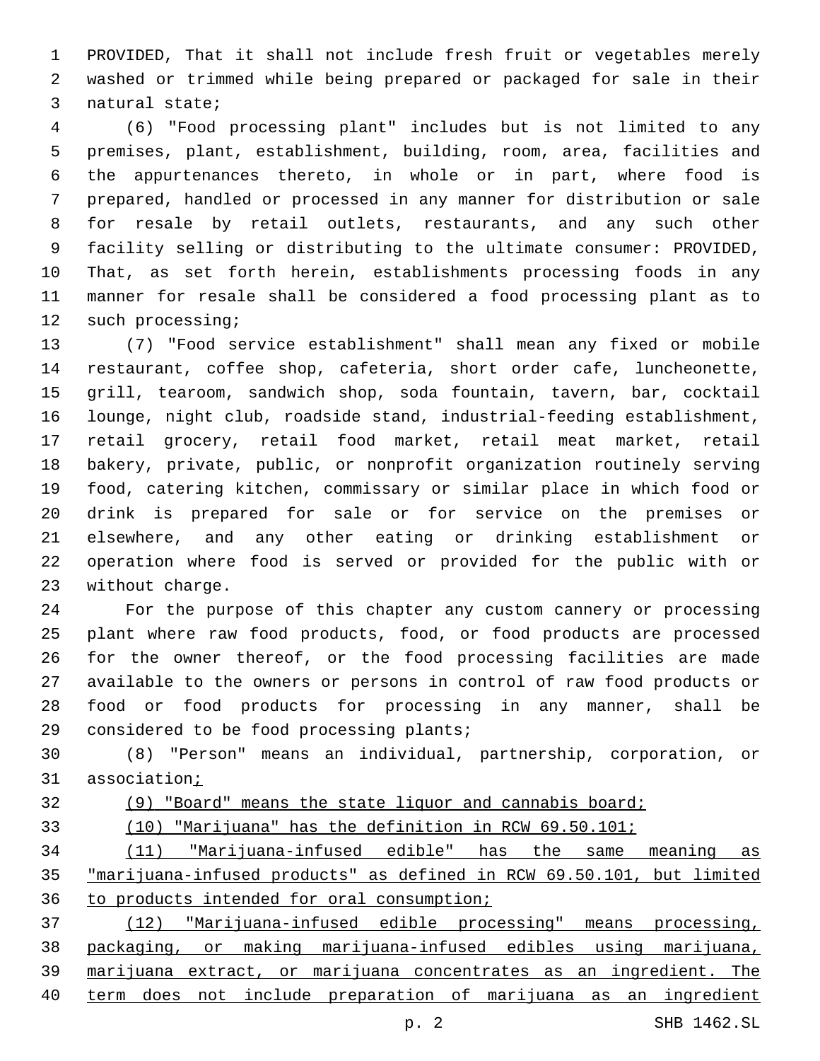PROVIDED, That it shall not include fresh fruit or vegetables merely washed or trimmed while being prepared or packaged for sale in their 3 natural state;

 (6) "Food processing plant" includes but is not limited to any premises, plant, establishment, building, room, area, facilities and the appurtenances thereto, in whole or in part, where food is prepared, handled or processed in any manner for distribution or sale for resale by retail outlets, restaurants, and any such other facility selling or distributing to the ultimate consumer: PROVIDED, That, as set forth herein, establishments processing foods in any manner for resale shall be considered a food processing plant as to 12 such processing;

 (7) "Food service establishment" shall mean any fixed or mobile restaurant, coffee shop, cafeteria, short order cafe, luncheonette, grill, tearoom, sandwich shop, soda fountain, tavern, bar, cocktail lounge, night club, roadside stand, industrial-feeding establishment, retail grocery, retail food market, retail meat market, retail bakery, private, public, or nonprofit organization routinely serving food, catering kitchen, commissary or similar place in which food or drink is prepared for sale or for service on the premises or elsewhere, and any other eating or drinking establishment or operation where food is served or provided for the public with or 23 without charge.

 For the purpose of this chapter any custom cannery or processing plant where raw food products, food, or food products are processed for the owner thereof, or the food processing facilities are made available to the owners or persons in control of raw food products or food or food products for processing in any manner, shall be 29 considered to be food processing plants;

 (8) "Person" means an individual, partnership, corporation, or association;

 (9) "Board" means the state liquor and cannabis board; (10) "Marijuana" has the definition in RCW 69.50.101; (11) "Marijuana-infused edible" has the same meaning as "marijuana-infused products" as defined in RCW 69.50.101, but limited to products intended for oral consumption; (12) "Marijuana-infused edible processing" means processing, packaging, or making marijuana-infused edibles using marijuana, marijuana extract, or marijuana concentrates as an ingredient. The term does not include preparation of marijuana as an ingredient

p. 2 SHB 1462.SL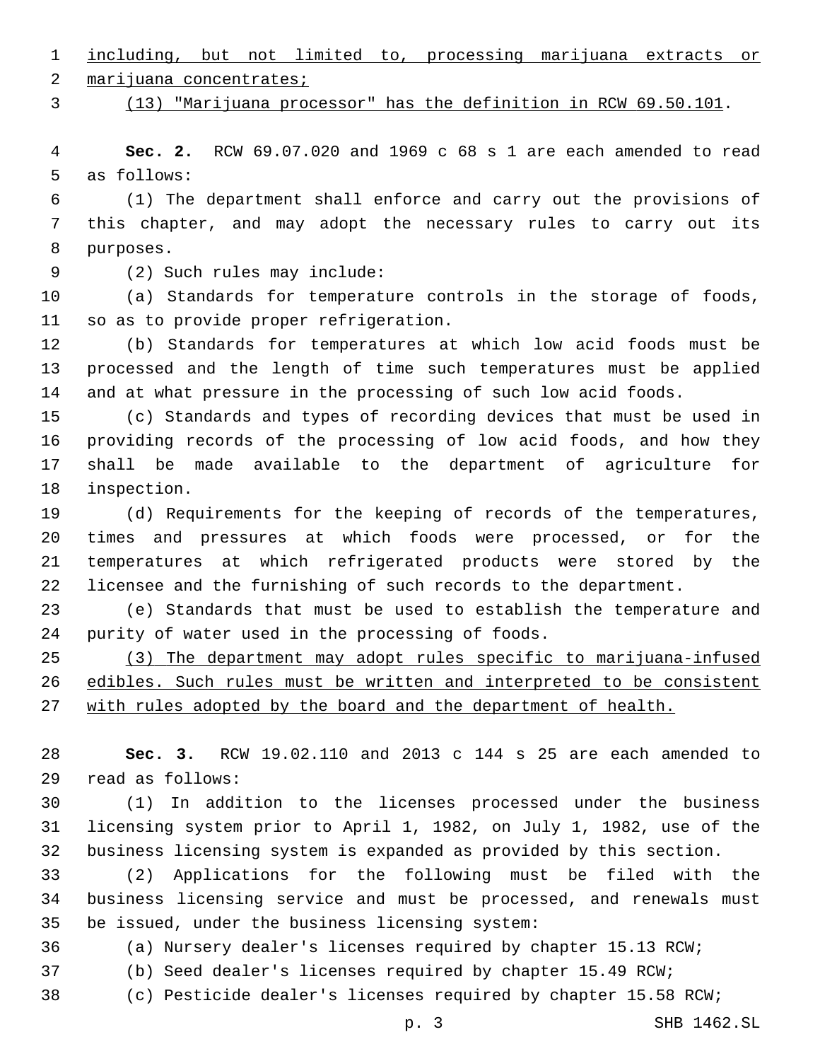including, but not limited to, processing marijuana extracts or

2 marijuana concentrates;

(13) "Marijuana processor" has the definition in RCW 69.50.101.

 **Sec. 2.** RCW 69.07.020 and 1969 c 68 s 1 are each amended to read 5 as follows:

 (1) The department shall enforce and carry out the provisions of this chapter, and may adopt the necessary rules to carry out its 8 purposes.

(2) Such rules may include:9

 (a) Standards for temperature controls in the storage of foods, 11 so as to provide proper refrigeration.

 (b) Standards for temperatures at which low acid foods must be processed and the length of time such temperatures must be applied and at what pressure in the processing of such low acid foods.

 (c) Standards and types of recording devices that must be used in providing records of the processing of low acid foods, and how they shall be made available to the department of agriculture for 18 inspection.

 (d) Requirements for the keeping of records of the temperatures, times and pressures at which foods were processed, or for the temperatures at which refrigerated products were stored by the licensee and the furnishing of such records to the department.

 (e) Standards that must be used to establish the temperature and 24 purity of water used in the processing of foods.

 (3) The department may adopt rules specific to marijuana-infused edibles. Such rules must be written and interpreted to be consistent with rules adopted by the board and the department of health.

 **Sec. 3.** RCW 19.02.110 and 2013 c 144 s 25 are each amended to read as follows:29

 (1) In addition to the licenses processed under the business licensing system prior to April 1, 1982, on July 1, 1982, use of the business licensing system is expanded as provided by this section.

 (2) Applications for the following must be filed with the business licensing service and must be processed, and renewals must 35 be issued, under the business licensing system:

(a) Nursery dealer's licenses required by chapter 15.13 RCW;

- (b) Seed dealer's licenses required by chapter 15.49 RCW;
- (c) Pesticide dealer's licenses required by chapter 15.58 RCW;

p. 3 SHB 1462.SL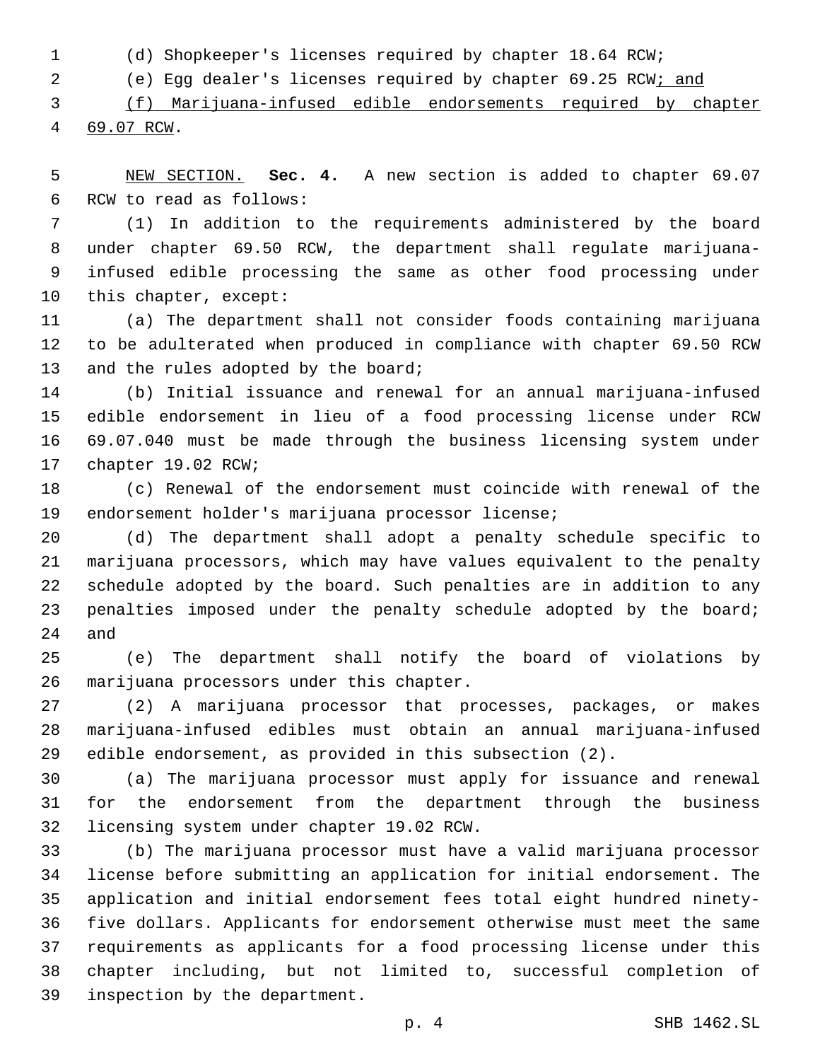(d) Shopkeeper's licenses required by chapter 18.64 RCW;

(e) Egg dealer's licenses required by chapter 69.25 RCW; and

 (f) Marijuana-infused edible endorsements required by chapter 4 69.07 RCW.

 NEW SECTION. **Sec. 4.** A new section is added to chapter 69.07 6 RCW to read as follows:

 (1) In addition to the requirements administered by the board under chapter 69.50 RCW, the department shall regulate marijuana- infused edible processing the same as other food processing under 10 this chapter, except:

 (a) The department shall not consider foods containing marijuana to be adulterated when produced in compliance with chapter 69.50 RCW 13 and the rules adopted by the board;

 (b) Initial issuance and renewal for an annual marijuana-infused edible endorsement in lieu of a food processing license under RCW 69.07.040 must be made through the business licensing system under 17 chapter 19.02 RCW;

 (c) Renewal of the endorsement must coincide with renewal of the 19 endorsement holder's marijuana processor license;

 (d) The department shall adopt a penalty schedule specific to marijuana processors, which may have values equivalent to the penalty schedule adopted by the board. Such penalties are in addition to any 23 penalties imposed under the penalty schedule adopted by the board; and

 (e) The department shall notify the board of violations by 26 marijuana processors under this chapter.

 (2) A marijuana processor that processes, packages, or makes marijuana-infused edibles must obtain an annual marijuana-infused edible endorsement, as provided in this subsection (2).

 (a) The marijuana processor must apply for issuance and renewal for the endorsement from the department through the business 32 licensing system under chapter 19.02 RCW.

 (b) The marijuana processor must have a valid marijuana processor license before submitting an application for initial endorsement. The application and initial endorsement fees total eight hundred ninety- five dollars. Applicants for endorsement otherwise must meet the same requirements as applicants for a food processing license under this chapter including, but not limited to, successful completion of 39 inspection by the department.